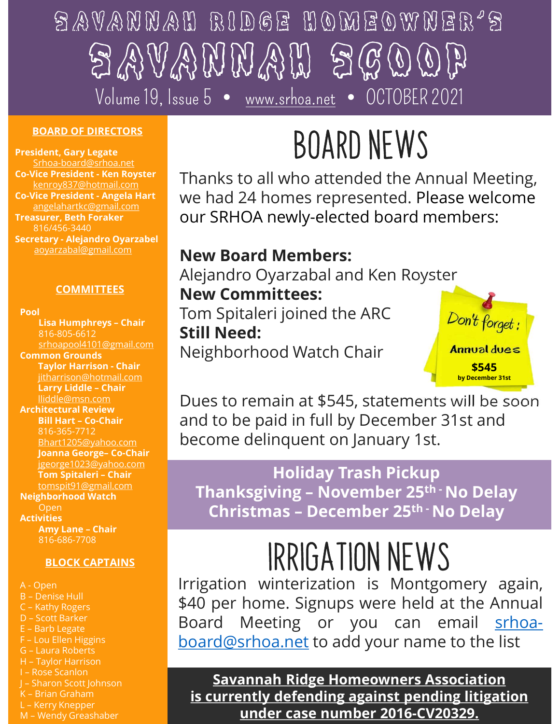# SAVANNAI RIDGE TIOMEO<br>
CO-Vice President - Ken Royster<br>
Co-Vice President - Ken Royster<br>
Co-Vice President - Ken Royster<br>
Co-Vice President - Ken Royster<br>
Co-Vice President - Ken Royster<br>
Co-Vice President - Ken Royster<br> Co-Vice President - Angela Hart  $\begin{array}{rcl}\n\textcircled{3}\n\textcircled{456-3440}\n\hline\n\text{SARD OF DIRECTORS}\n\end{array}\n\begin{array}{rcl}\n\text{POARD OF DIRECTORS}\n\end{array}\n\begin{array}{rcl}\n\text{POARD OF DIRECTORS}\n\end{array}\n\begin{array}{rcl}\n\text{POARD OF DIRECTORS}\n\end{array}\n\begin{array}{rcl}\n\text{POARD OF DIRECTORS}\n\end{array}\n\begin{array}{rcl}\n\text{POARD OF DIRECTORS}\n\end{array}\n\begin{array}{rcl}\n\text{POARD OF DIREC$ SAVANNAH RIDGE HOMEOWNER'S  $\mathbb{Z} \mathbb{Z} \mathbb{Z} \mathbb{Z} \mathbb{Z} \mathbb{Z} \mathbb{Z} \mathbb{Z} \mathbb{Z} \mathbb{Z} \mathbb{Z}$ Volume 19, Issue 5 • www.srhoa.net • OCTOBER 2021

### BOARD OF DIRECTORS

President, Gary Legate Srhoa-board@srhoa.net angelahartkc@gmail.com Treasurer, Beth Foraker 816/456-3440

Pool

Common Grounds jitharrison@hotmail.com Architectural Review Communister and the paid of the paid of the paid of the state of the state of the state of the state of the state of the state of the state of the state of the state of the state of the state of the state of the state of t 816-365-7712 16/456-3440<br>
ovarzabal@gmail.com<br>
ovarzabal@gmail.com<br> **SCOMMITTEES**<br>
<br> **SCOMMITTEES**<br>
<br> **SCOMMITTEES**<br>
<br> **SCOMMITTEES**<br>
<br> **SCOMMITTEES**<br>
<br>
<br> **SCOMMITTEES**<br>
<br>
<br>
<br>
<br>
Lisa Humphreys - Chair<br>
<br> **SCOMMITTEES**<br>
<br>
<br> **SCOMMITTEES** jgeorge1023@yahoo.com ovarizabal@gmail.com<br>
COMMITTEES<br>
Lisa Humphreys - Chair<br>
Sheapool 2010<br>
Sheapool 2010<br>
Sheapool 2010<br>
Sheapool 2010<br>
Sheapool 2010<br>
Sheapool 2010<br>
Sheapool 2010<br>
Sheapool 2010<br>
Interison – Chair<br>
Ilidde@ms.com<br>
Ilidde@ms. Neighborhood Watch **Neighborhood Watch** Activities Amy Lane – Chair<br>
Still Need:<br>
Scheolognalischen – Chair<br>
Tom Spitaleri joined the ARC<br>
Still Need:<br>
Still Need:<br>
Amy Lidde – Chair<br>
Therison-homal.com<br>
Ilidde Thair<br>
Ilidde man.com<br>
Ilidde man.com<br>
Still 1-art – Chair<br>
Il 816-686-7708 Common Ground Strategy and Changes and Changes and Changes are the Chain (Signal Hart and Changes Co-Chain Strategy and Changes Co-Chain Strategy and Changes and Changes and Changes are the sense of the Changes of Laura Ro rayon Harrison Chair<br>
interison Chair<br>
and to be paid in full<br>
and to be paid in full<br>
and to be paid in full<br>
and to be paid in full<br>
and to be paid in full<br>
become delinquent<br>
jearse/12.3@yahoo.com<br>
Joanna George-Co-Chai Weinder Chain<br>
Architectural Review<br>
Architectural Review<br>
Bill Hart - Co-Chair<br>
Bill Hart - Co-Chair<br>
Bill Hart - Co-Chair<br>
Bill Hart - Co-Chair<br>
Janua George- Co-Chair<br>
Janua George- Co-Chair<br>
Janua George- Co-Chair<br>
Jan Larry Lude - Chair<br>
Machiele Constrained Review<br>
1997 - Shart1205@yahoo.com<br>
1997 - Shart1205@yahoo.com<br>
1997 - Shart1205@yahoo.com<br>
1997 - Shart1205@yahoo.com<br>
1997 - Shart1205@yahoo.com<br>
1997 - Shartle Chair<br>
Neighborhoo Machineson.com<br>
Machineson Bill Hart - Co-Chair<br>
Bill Hart - Co-Chair<br>
Barb - 355-7712<br>
Bhart1205@yahoo.com<br>
Barb 1205@yahoo.com<br>
Joanna George- Co-Chair<br>
Tom Spitaleri - Chair<br>
Tom Spitaleri - Chair<br>
Open<br>
Activities<br>
Are A-Bonal Received Received Board (Chair and to be paid in full<br>
Bill Hart - Co-Chair<br>
Jeanna George- Co-Chair<br>
Jeanna George- Co-Chair<br>
Jeanna George- Co-Chair<br>
Thanksgiving – Number<br>
Activities<br>
A-Chen<br>
Activities<br>
A-Open<br> Black Script (Script)<br>
Median George Co-Chair<br>
Igeorge 1023@yahoo.com<br>
Tom Spitaleri - Chair<br>
Igeorge 1023@yahoo.com<br>
Tom Spitaleri - Chair<br>
Neighborhood Watch<br>
Neighborhood Watch<br>
Neighborhood Watch<br>
Activities<br>
Any Lane Bhart1205@yahoo.com<br>
Bhart1205@yahoo.com<br>
Jeanna George- Co-Chair<br>
Tom Spitaleri - Chair<br>
Tom Spitaleri - Chair<br>
Tom Spitaleri - Chair<br>
Open<br>
Open<br>
Open<br>
Activities<br>
Arry Lane - Chair<br>
SHOCK CAPTAINS<br>
BLOCK CAPTAINS<br>
BLOCK

### **BLOCK CAPTAINS**

- Bart 2008 (Manuscon Contained Contained Contained Contained Contained Contained Contained Contained Contained Contained Contained Contained Contained Contained Contained Contained Contained Contained Contained Contained Co Sama George - Co-Cara (Bach Christmas – Det Christmas – Det Christmas – Det Christmas – Det Christmas – Det Christmas – Det Christmas – Det Christmas – Det Christmas – Det Christmas – Det Christmas – Det Christmas – Det Ch Thanksgiving – Numanistation<br>
Neighborhood Watch<br>
Activities<br>
Any Lane - Chair<br>
SHOCK CAPTAINS<br>
BLOCK CAPTAINS<br>
BLOCK CAPTAINS<br>
A-Open<br>
B-Denise Hull<br>
Christmas – Dec<br>
Serves S66-7708<br>
BLOCK CAPTAINS<br>
A-Open<br>
D-Scott Barke USE UNIVERSELUCTION CONTROLL AND THE SERVICE CONTRACT AND LATERATOR BLOCK CAPTAINS<br>
A-Open<br>
B-Denise Hull<br>
C-Kathy Rogers<br>
B-Denise Hull<br>
C-Rathy Rogers<br>
E-Barb Legate<br>
E-Barb Legate<br>
E-Barb Legate<br>
H-Taylor Harrison<br>
H-Ta
- 

## Board news

*lice President - Ken Royster* Thanks to all who attended the Annual Meeting, we had 24 homes represented. Please welcome our SRHOA newly-elected board members:

### aoyarzabal@gmail.com New Board Members:

ejandro Oyarzabal and Ken Royster<br>
ew Committees:<br>
III Need:<br>
The Spitaleri joined the ARC<br>
Leighborhood Watch Chair<br>
Les to remain at \$545, statements will be soon<br>
Indiday Trash Pickup<br>
Thanksgiving – November 25<sup>th</sup> - N **COMMITTEES** New Committees: Volume 19, Issue b<br> **OARD OF DIRECTORS**<br> **CORPORAGEMENT CARRECTORS**<br>
CORPORAGEMENT CARRECTORS<br>
CORPORAGEMENT CARRECT CARRECT TRANS TO all who attended the *A*<br>
<u>melahartk.comail.com</u><br>
Inverse transformation<br>
(16/456-3440<br> 816-805-6612 Still Need: srhoapool4101@gmail.com Neighborhood Watch Chair Manual du New BOARD NEW<br>
Thanks to all who attended the<br>
enregisted the Reynor Chair Consider the ARC<br>
enregisted the Reynor Chair Consider the State of the State of the State of the State of the State of the State of the State of t Thanks to all who attended the President-Amela Hart<br>
enroys are resident-Amela Hart<br>
resident-Amela Hart<br>
resident Amela Hart<br>
resident Committees<br>
resident Committees<br>
resident overviews and the New Board Members:<br>
Alejan Alejandro Oyarzabal and Ken Royster Tom Spitaleri joined the ARC Don't forget :



**Spitaleri joined the ARC**<br>
Need:<br>
Spitaleri joined the ARC<br>
Sphorhood Watch Chair<br>
Subsember 31st and<br>
Spitaleri and the S45, statements will be soon<br>
to be paid in full by December 31st and<br>
Don't forget:<br>
Statement on J lliddle@msn.com Dues to remain at \$545, statements will be soon Bhart1205@yahoo.com **become delinquent on January 1st.** and to be paid in full by December 31st and

### Holiday Trash Pickup tomspit91@gmail.com  $O_{\text{open}}$  Christmas – December 25<sup>th -</sup> No Delay

## IRRIGATION NEWS

Experience of the third of the term of the Savannah Ridge Home Christmas – December open<br>
Meighborhood Watch<br>
Meighborhood Watch<br>
SHOCK CAPTAINS<br>
BLOCK CAPTAINS<br>
A-Open<br>
BLOCK CAPTAINS<br>
BLOCK CAPTAINS<br>
A-Open<br>
C- Kathy Rog Irrigation winter and the paid in full by December 31st and<br>become delinquent on January 1st.<br>Holiday Trash Pickup<br>Thanksgiving – November 25<sup>th</sup> · No Delay<br>Christmas – December 25<sup>th</sup> · No Delay<br>Christmas – December 25<sup>th</sup> Dues to remain at \$545, statements will be soon<br>and to be paid in full by December 31st and<br>become delinquent on January 1st.<br>Holiday Trash Pickup<br>Thanksgiving – November 25<sup>th</sup> · No Delay<br>Christmas – December 25<sup>th</sup> · No Dues to remain at \$545, statements will be soon<br>and to be paid in full by December 31st and<br>become delinquent on January 1st.<br>**Holiday Trash Pickup**<br>**Thanksgiving – November 25<sup>th</sup>·No Delay<br><b>Christmas – December 25<sup>th</sup>·No** and to be paid in full by December 31st and<br>become delinquent on January 1st.<br>Holiday Trash Pickup<br>Thanksgiving – November 25<sup>th</sup> · No Delay<br>Christmas – December 25<sup>th</sup> · No Delay<br> $\mathbb{R}\mathbb{R}\mathbb{C}\mathbf{A}$   $\mathbb{R}\mathbb{C}\mathbf{A}$ 

Savannah Ridge Homeowners Association is currently defending against pending litigation under case number 2016-CV20329.